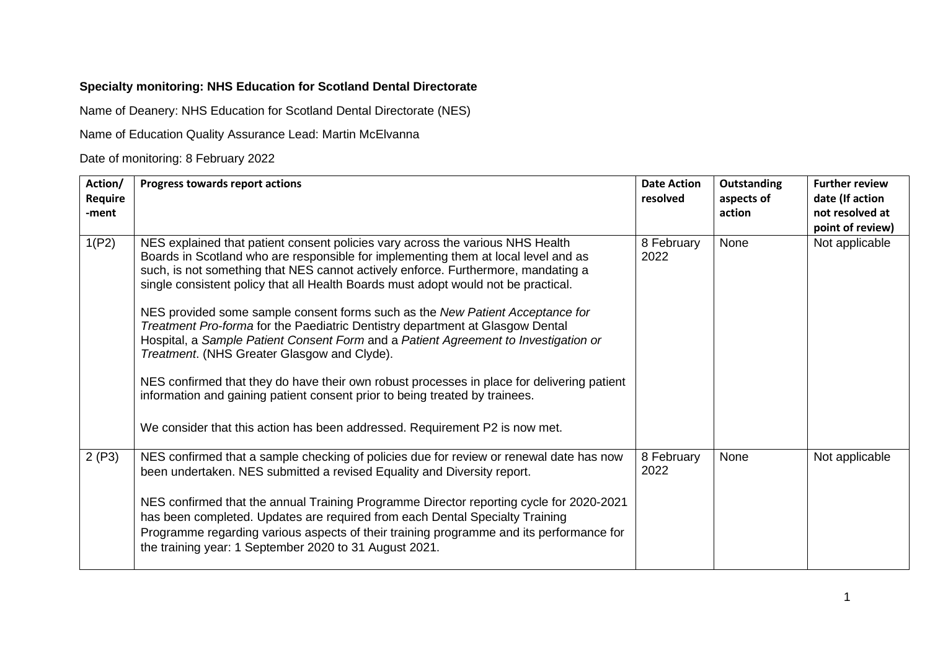## **Specialty monitoring: NHS Education for Scotland Dental Directorate**

Name of Deanery: NHS Education for Scotland Dental Directorate (NES)

Name of Education Quality Assurance Lead: Martin McElvanna

Date of monitoring: 8 February 2022

| Action/<br>Require<br>-ment | Progress towards report actions                                                                                                                                                                                                                                                                                                                                                                                                                                                                                                                                                                                                                         | <b>Date Action</b><br>resolved | Outstanding<br>aspects of<br>action | <b>Further review</b><br>date (If action<br>not resolved at<br>point of review) |
|-----------------------------|---------------------------------------------------------------------------------------------------------------------------------------------------------------------------------------------------------------------------------------------------------------------------------------------------------------------------------------------------------------------------------------------------------------------------------------------------------------------------------------------------------------------------------------------------------------------------------------------------------------------------------------------------------|--------------------------------|-------------------------------------|---------------------------------------------------------------------------------|
| 1(P2)                       | NES explained that patient consent policies vary across the various NHS Health<br>Boards in Scotland who are responsible for implementing them at local level and as<br>such, is not something that NES cannot actively enforce. Furthermore, mandating a<br>single consistent policy that all Health Boards must adopt would not be practical.<br>NES provided some sample consent forms such as the New Patient Acceptance for<br>Treatment Pro-forma for the Paediatric Dentistry department at Glasgow Dental<br>Hospital, a Sample Patient Consent Form and a Patient Agreement to Investigation or<br>Treatment. (NHS Greater Glasgow and Clyde). | 8 February<br>2022             | None                                | Not applicable                                                                  |
|                             | NES confirmed that they do have their own robust processes in place for delivering patient<br>information and gaining patient consent prior to being treated by trainees.<br>We consider that this action has been addressed. Requirement P2 is now met.                                                                                                                                                                                                                                                                                                                                                                                                |                                |                                     |                                                                                 |
| 2(P3)                       | NES confirmed that a sample checking of policies due for review or renewal date has now<br>been undertaken. NES submitted a revised Equality and Diversity report.<br>NES confirmed that the annual Training Programme Director reporting cycle for 2020-2021<br>has been completed. Updates are required from each Dental Specialty Training<br>Programme regarding various aspects of their training programme and its performance for<br>the training year: 1 September 2020 to 31 August 2021.                                                                                                                                                      | 8 February<br>2022             | None                                | Not applicable                                                                  |